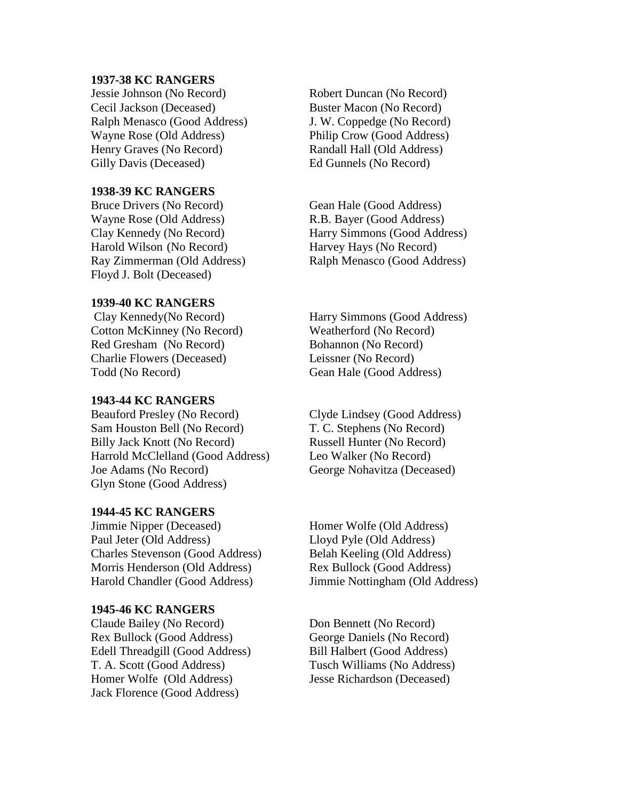#### **1937-38 KC RANGERS**

Jessie Johnson (No Record) Robert Duncan (No Record) Cecil Jackson (Deceased) Buster Macon (No Record) Ralph Menasco (Good Address) J. W. Coppedge (No Record) Wayne Rose (Old Address) Philip Crow (Good Address) Henry Graves (No Record) Randall Hall (Old Address) Gilly Davis (Deceased) Ed Gunnels (No Record)

# **1938-39 KC RANGERS**

Bruce Drivers (No Record) Gean Hale (Good Address) Wayne Rose (Old Address) R.B. Bayer (Good Address) Harold Wilson (No Record) Harvey Hays (No Record) Floyd J. Bolt (Deceased)

## **1939-40 KC RANGERS**

Cotton McKinney (No Record) Weatherford (No Record) Red Gresham (No Record) Bohannon (No Record) Charlie Flowers (Deceased) Leissner (No Record) Todd (No Record) Gean Hale (Good Address)

## **1943-44 KC RANGERS**

Beauford Presley (No Record) Clyde Lindsey (Good Address) Sam Houston Bell (No Record) T. C. Stephens (No Record) Billy Jack Knott (No Record) Russell Hunter (No Record) Harrold McClelland (Good Address) Leo Walker (No Record) Joe Adams (No Record) George Nohavitza (Deceased) Glyn Stone (Good Address)

#### **1944-45 KC RANGERS**

Jimmie Nipper (Deceased) Homer Wolfe (Old Address) Paul Jeter (Old Address) Lloyd Pyle (Old Address) Charles Stevenson (Good Address) Belah Keeling (Old Address) Morris Henderson (Old Address) Rex Bullock (Good Address) Harold Chandler (Good Address) Jimmie Nottingham (Old Address)

#### **1945-46 KC RANGERS**

Claude Bailey (No Record) Don Bennett (No Record) Rex Bullock (Good Address) George Daniels (No Record) Edell Threadgill (Good Address) Bill Halbert (Good Address) T. A. Scott (Good Address) Tusch Williams (No Address) Homer Wolfe (Old Address) Jesse Richardson (Deceased) Jack Florence (Good Address)

Clay Kennedy (No Record) Harry Simmons (Good Address) Ray Zimmerman (Old Address) Ralph Menasco (Good Address)

Clay Kennedy(No Record) Harry Simmons (Good Address)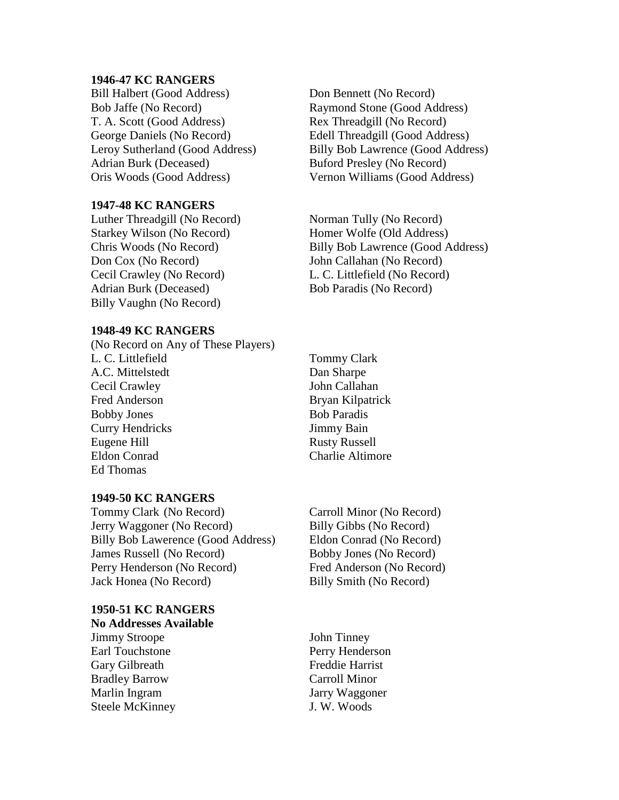#### **1946-47 KC RANGERS**

Bill Halbert (Good Address) Don Bennett (No Record) Bob Jaffe (No Record) Raymond Stone (Good Address) T. A. Scott (Good Address) Rex Threadgill (No Record) George Daniels (No Record) Edell Threadgill (Good Address) Adrian Burk (Deceased) Buford Presley (No Record) Oris Woods (Good Address) Vernon Williams (Good Address)

#### **1947-48 KC RANGERS**

Luther Threadgill (No Record) Norman Tully (No Record) Starkey Wilson (No Record) Homer Wolfe (Old Address) Don Cox (No Record) John Callahan (No Record) Cecil Crawley (No Record) L. C. Littlefield (No Record) Adrian Burk (Deceased) Bob Paradis (No Record) Billy Vaughn (No Record)

# **1948-49 KC RANGERS**

(No Record on Any of These Players) L. C. Littlefield Tommy Clark A.C. Mittelstedt Dan Sharpe Cecil Crawley John Callahan Fred Anderson Bryan Kilpatrick Bobby Jones Bob Paradis Curry Hendricks Jimmy Bain Eugene Hill Rusty Russell Eldon Conrad Charlie Altimore Ed Thomas

## **1949-50 KC RANGERS**

Tommy Clark (No Record) Carroll Minor (No Record) Jerry Waggoner (No Record) Billy Gibbs (No Record) Billy Bob Lawerence (Good Address) Eldon Conrad (No Record) James Russell (No Record) Bobby Jones (No Record) Perry Henderson (No Record) Fred Anderson (No Record) Jack Honea (No Record) Billy Smith (No Record)

**1950-51 KC RANGERS No Addresses Available**

Jimmy Stroope John Tinney Earl Touchstone **Perry Henderson** Gary Gilbreath Freddie Harrist Bradley Barrow Carroll Minor Marlin Ingram Jarry Waggoner Steele McKinney J. W. Woods

Leroy Sutherland (Good Address) Billy Bob Lawrence (Good Address)

Chris Woods (No Record) Billy Bob Lawrence (Good Address)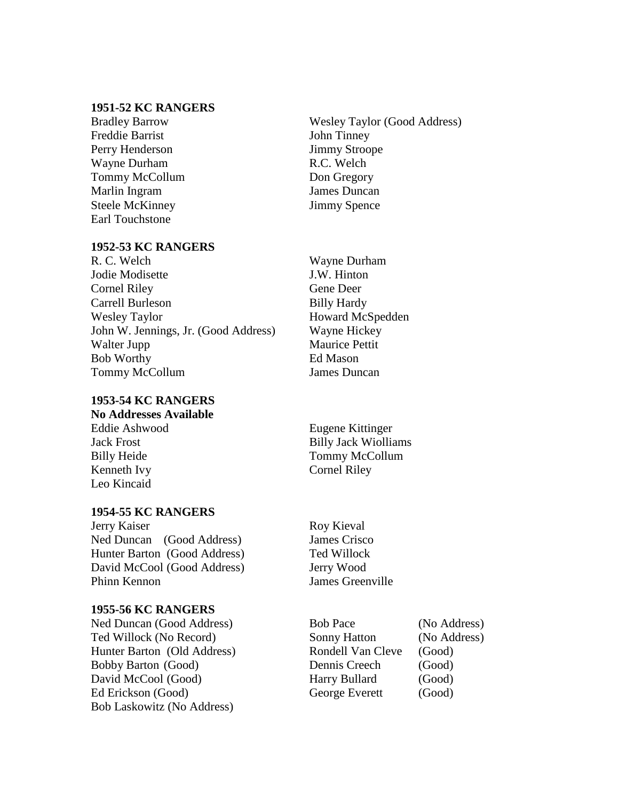# **1951-52 KC RANGERS**

Freddie Barrist John Tinney Perry Henderson Jimmy Stroope Wayne Durham R.C. Welch Tommy McCollum Don Gregory Marlin Ingram James Duncan Steele McKinney Jimmy Spence Earl Touchstone

## **1952-53 KC RANGERS**

R. C. Welch Wayne Durham Jodie Modisette J.W. Hinton Cornel Riley Gene Deer Carrell Burleson Billy Hardy Wesley Taylor **Howard McSpedden** John W. Jennings, Jr. (Good Address) Wayne Hickey Walter Jupp Maurice Pettit Bob Worthy Ed Mason Tommy McCollum James Duncan

# **1953-54 KC RANGERS**

**No Addresses Available** Eddie Ashwood Eugene Kittinger Jack Frost Billy Jack Wiolliams

Kenneth Ivy Cornel Riley Leo Kincaid

# **1954-55 KC RANGERS**

Jerry Kaiser Roy Kieval Ned Duncan (Good Address) James Crisco Hunter Barton (Good Address) Ted Willock David McCool (Good Address) Jerry Wood Phinn Kennon James Greenville

## **1955-56 KC RANGERS**

Ned Duncan (Good Address) Bob Pace (No Address) Hunter Barton (Old Address) Rondell Van Cleve (Good) Bobby Barton (Good) Dennis Creech (Good) David McCool (Good) Harry Bullard (Good) Ed Erickson (Good) George Everett (Good) Bob Laskowitz (No Address)

Bradley Barrow Wesley Taylor (Good Address)

Billy Heide Tommy McCollum

Ted Willock (No Record) Sonny Hatton (No Address)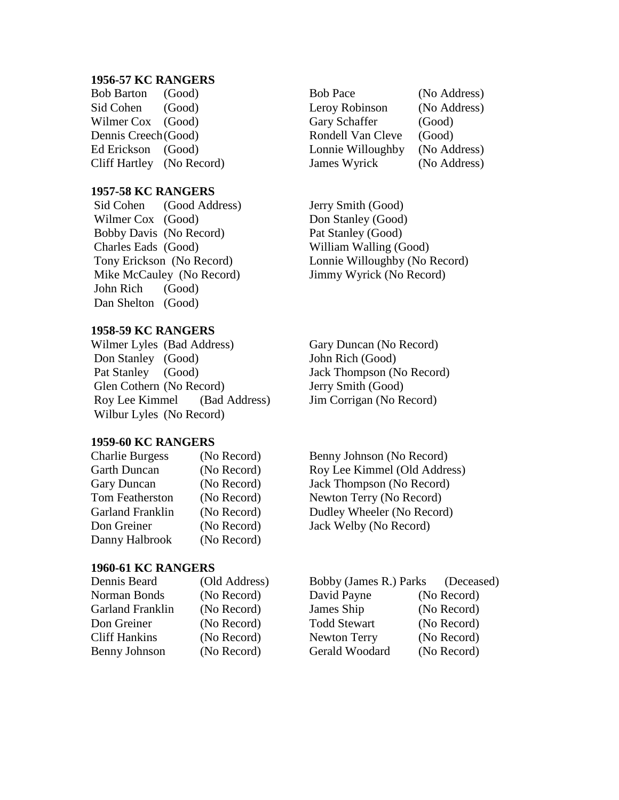#### **1956-57 KC RANGERS**

# **1957-58 KC RANGERS**

Sid Cohen (Good Address) Jerry Smith (Good) Wilmer Cox (Good) Don Stanley (Good) Bobby Davis (No Record) Pat Stanley (Good) Charles Eads (Good) William Walling (Good) Mike McCauley (No Record) Jimmy Wyrick (No Record) John Rich (Good) Dan Shelton (Good)

## **1958-59 KC RANGERS**

Wilmer Lyles (Bad Address) Gary Duncan (No Record) Don Stanley (Good) John Rich (Good) Pat Stanley (Good) Jack Thompson (No Record) Glen Cothern (No Record) Jerry Smith (Good) Roy Lee Kimmel (Bad Address) Jim Corrigan (No Record) Wilbur Lyles (No Record)

## **1959-60 KC RANGERS**

| <b>Charlie Burgess</b>  | (No Record) |
|-------------------------|-------------|
| <b>Garth Duncan</b>     | (No Record) |
| Gary Duncan             | (No Record) |
| Tom Featherston         | (No Record) |
| <b>Garland Franklin</b> | (No Record) |
| Don Greiner             | (No Record) |
| Danny Halbrook          | (No Record) |

## **1960-61 KC RANGERS**

| Dennis Beard         | (Old Address) | Bobby (James R.) Parks | (Decea      |
|----------------------|---------------|------------------------|-------------|
| Norman Bonds         | (No Record)   | David Payne            | (No Record) |
| Garland Franklin     | (No Record)   | James Ship             | (No Record) |
| Don Greiner          | (No Record)   | <b>Todd Stewart</b>    | (No Record) |
| <b>Cliff Hankins</b> | (No Record)   | <b>Newton Terry</b>    | (No Record) |
| <b>Benny Johnson</b> | (No Record)   | Gerald Woodard         | (No Record) |

Bob Barton (Good) Bob Pace (No Address) Sid Cohen (Good) Leroy Robinson (No Address) Wilmer Cox (Good) Gary Schaffer (Good) Dennis Creech(Good) Rondell Van Cleve (Good) Ed Erickson (Good) Lonnie Willoughby (No Address) Cliff Hartley (No Record) James Wyrick (No Address)

Tony Erickson (No Record) Lonnie Willoughby (No Record)

Benny Johnson (No Record) Roy Lee Kimmel (Old Address) Jack Thompson (No Record) Newton Terry (No Record) Dudley Wheeler (No Record) Jack Welby (No Record)

| Dennis Beard         | (Old Address) | Bobby (James R.) Parks (Deceased) |             |
|----------------------|---------------|-----------------------------------|-------------|
| Norman Bonds         | (No Record)   | David Payne                       | (No Record) |
| Garland Franklin     | (No Record)   | James Ship                        | (No Record) |
| Don Greiner          | (No Record)   | <b>Todd Stewart</b>               | (No Record) |
| <b>Cliff Hankins</b> | (No Record)   | <b>Newton Terry</b>               | (No Record) |
| <b>Benny Johnson</b> | (No Record)   | Gerald Woodard                    | (No Record) |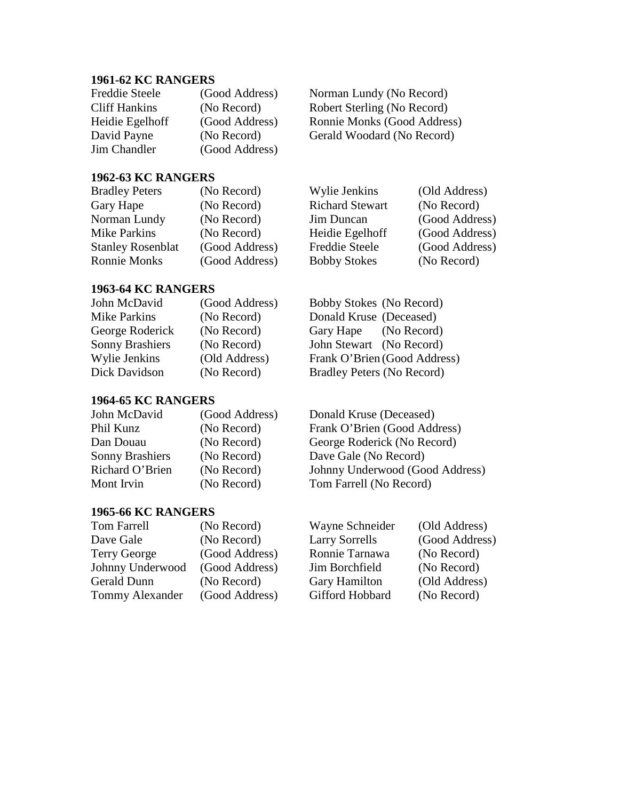# **1961-62 KC RANGERS**

| <b>Freddie Steele</b> | (Good Address) |
|-----------------------|----------------|
| <b>Cliff Hankins</b>  | (No Record)    |
| Heidie Egelhoff       | (Good Address) |
| David Payne           | (No Record)    |
| <b>Jim Chandler</b>   | (Good Address) |

Norman Lundy (No Record) Robert Sterling (No Record) Ronnie Monks (Good Address) Gerald Woodard (No Record)

# **1962-63 KC RANGERS**

| <b>Bradley Peters</b>    | (No Record)    | Wylie Jenkins          | (Old Address)  |
|--------------------------|----------------|------------------------|----------------|
| Gary Hape                | (No Record)    | <b>Richard Stewart</b> | (No Record)    |
| Norman Lundy             | (No Record)    | Jim Duncan             | (Good Address) |
| <b>Mike Parkins</b>      | (No Record)    | Heidie Egelhoff        | (Good Address) |
| <b>Stanley Rosenblat</b> | (Good Address) | <b>Freddie Steele</b>  | (Good Address) |
| <b>Ronnie Monks</b>      | (Good Address) | <b>Bobby Stokes</b>    | (No Record)    |

# **1963-64 KC RANGERS**

| John McDavid           | (Good Address) | Bobby Stokes (No Record)     |
|------------------------|----------------|------------------------------|
| Mike Parkins           | (No Record)    | Donald Kruse (Deceased)      |
| George Roderick        | (No Record)    | Gary Hape (No Record)        |
| <b>Sonny Brashiers</b> | (No Record)    | John Stewart (No Record)     |
| Wylie Jenkins          | (Old Address)  | Frank O'Brien (Good Address) |
| Dick Davidson          | (No Record)    | Bradley Peters (No Record)   |

# **1964-65 KC RANGERS**

| John McDavid           | (Good Address) | Donald Kruse (Deceased)         |
|------------------------|----------------|---------------------------------|
| Phil Kunz              | (No Record)    | Frank O'Brien (Good Address)    |
| Dan Douau              | (No Record)    | George Roderick (No Record)     |
| <b>Sonny Brashiers</b> | (No Record)    | Dave Gale (No Record)           |
| Richard O'Brien        | (No Record)    | Johnny Underwood (Good Address) |
| Mont Irvin             | (No Record)    | Tom Farrell (No Record)         |

# **1965-66 KC RANGERS**

| <b>Tom Farrell</b>     | (No Record)    |
|------------------------|----------------|
| Dave Gale              | (No Record)    |
| <b>Terry George</b>    | (Good Address) |
| Johnny Underwood       | (Good Address) |
| Gerald Dunn            | (No Record)    |
| <b>Tommy Alexander</b> | (Good Address) |

Wayne Schneider (Old Address) Larry Sorrells (Good Address) Ronnie Tarnawa (No Record) Jim Borchfield (No Record)<br>Gary Hamilton (Old Address) Gary Hamilton ny Alexander (Good Address) Gifford Hobbard (No Record)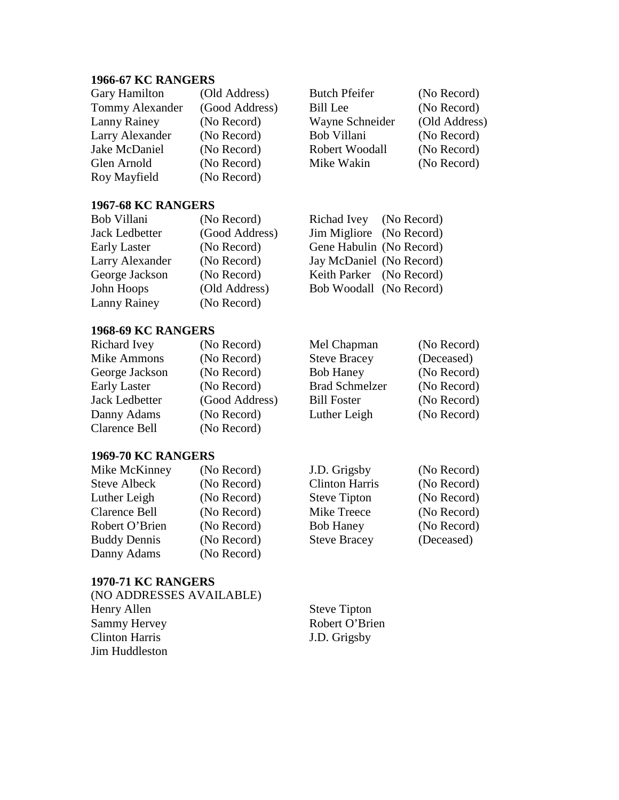# **1966-67 KC RANGERS**

| <b>Gary Hamilton</b>   | (Old Address)  |
|------------------------|----------------|
| <b>Tommy Alexander</b> | (Good Address) |
| Lanny Rainey           | (No Record)    |
| Larry Alexander        | (No Record)    |
| Jake McDaniel          | (No Record)    |
| Glen Arnold            | (No Record)    |
| Roy Mayfield           | (No Record)    |
|                        |                |

## **1967-68 KC RANGERS**

| Bob Villani           | (No Record)    | Richad Ivey (No Record)  |  |
|-----------------------|----------------|--------------------------|--|
| <b>Jack Ledbetter</b> | (Good Address) | Jim Migliore (No Record) |  |
| <b>Early Laster</b>   | (No Record)    | Gene Habulin (No Record) |  |
| Larry Alexander       | (No Record)    | Jay McDaniel (No Record) |  |
| George Jackson        | (No Record)    | Keith Parker (No Record) |  |
| John Hoops            | (Old Address)  | Bob Woodall (No Record)  |  |
| Lanny Rainey          | (No Record)    |                          |  |

# **1968-69 KC RANGERS**

| Richard Ivey        | (No Record)    | Mel Chapman           | (No Record) |
|---------------------|----------------|-----------------------|-------------|
| <b>Mike Ammons</b>  | (No Record)    | <b>Steve Bracey</b>   | (Deceased)  |
| George Jackson      | (No Record)    | <b>Bob Haney</b>      | (No Record) |
| <b>Early Laster</b> | (No Record)    | <b>Brad Schmelzer</b> | (No Record) |
| Jack Ledbetter      | (Good Address) | <b>Bill Foster</b>    | (No Record) |
| Danny Adams         | (No Record)    | Luther Leigh          | (No Record) |
| Clarence Bell       | (No Record)    |                       |             |

Butch Pfeifer (No Record) Bill Lee (No Record) Wayne Schneider (Old Address)

Bob Villani (No Record)<br>
Robert Woodall (No Record)

Mike Wakin (No Record)

Robert Woodall

# **1969-70 KC RANGERS**

| Mike McKinney       | (No Record) | J.D. Grigsby          | (No Record) |
|---------------------|-------------|-----------------------|-------------|
| <b>Steve Albeck</b> | (No Record) | <b>Clinton Harris</b> | (No Record) |
| Luther Leigh        | (No Record) | <b>Steve Tipton</b>   | (No Record) |
| Clarence Bell       | (No Record) | Mike Treece           | (No Record) |
| Robert O'Brien      | (No Record) | <b>Bob Haney</b>      | (No Record) |
| <b>Buddy Dennis</b> | (No Record) | <b>Steve Bracey</b>   | (Deceased)  |
| Danny Adams         | (No Record) |                       |             |
|                     |             |                       |             |

#### **1970-71 KC RANGERS**

| (NO ADDRESSES AVAILABLE) |                     |
|--------------------------|---------------------|
| Henry Allen              | <b>Steve Tipton</b> |
| Sammy Hervey             | Robert O'Brien      |
| <b>Clinton Harris</b>    | J.D. Grigsby        |
| Jim Huddleston           |                     |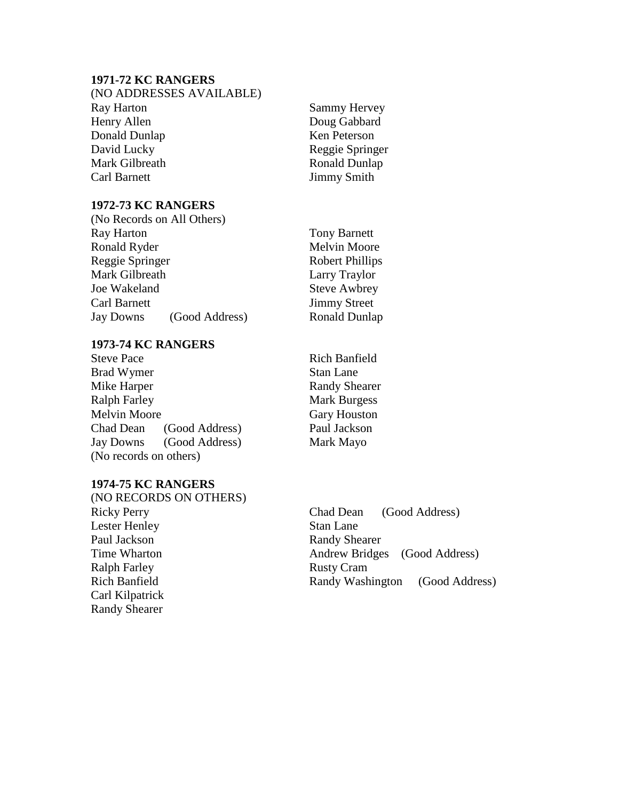# **1971-72 KC RANGERS**

| (NO ADDRESSES AVAILABLE) |  |
|--------------------------|--|
| Ray Harton               |  |
| Henry Allen              |  |
| Donald Dunlap            |  |
| David Lucky              |  |
| Mark Gilbreath           |  |
| Carl Barnett             |  |

## **1972-73 KC RANGERS**

|                 | (No Records on All Others) |              |
|-----------------|----------------------------|--------------|
| Ray Harton      |                            | Tony         |
| Ronald Ryder    |                            | Melv         |
| Reggie Springer |                            | Robe         |
| Mark Gilbreath  |                            | Larry        |
| Joe Wakeland    |                            | <b>Steve</b> |
| Carl Barnett    |                            | Jimm         |
| Jay Downs       | (Good Address)             | Rona         |
|                 |                            |              |

## **1973-74 KC RANGERS**

| <b>Steve Pace</b>      |                |
|------------------------|----------------|
| <b>Brad Wymer</b>      |                |
| Mike Harper            |                |
| <b>Ralph Farley</b>    |                |
| <b>Melvin Moore</b>    |                |
| Chad Dean              | (Good Address) |
| Jay Downs              | (Good Address) |
| (No records on others) |                |

# **1974-75 KC RANGERS**

(NO RECORDS ON OTHERS) Ricky Perry Chad Dean (Good Address) Lester Henley Stan Lane Paul Jackson Randy Shearer Ralph Farley Rusty Cram Carl Kilpatrick Randy Shearer

Sammy Hervey Doug Gabbard Ken Peterson Reggie Springer Ronald Dunlap Jimmy Smith

**Barnett** in Moore rt Phillips Traylor Awbrey ly Street Id Dunlap

Rich Banfield Stan Lane Randy Shearer **Mark Burgess** Gary Houston Paul Jackson Mark Mayo

Time Wharton **Andrew Bridges** (Good Address) Rich Banfield Randy Washington (Good Address)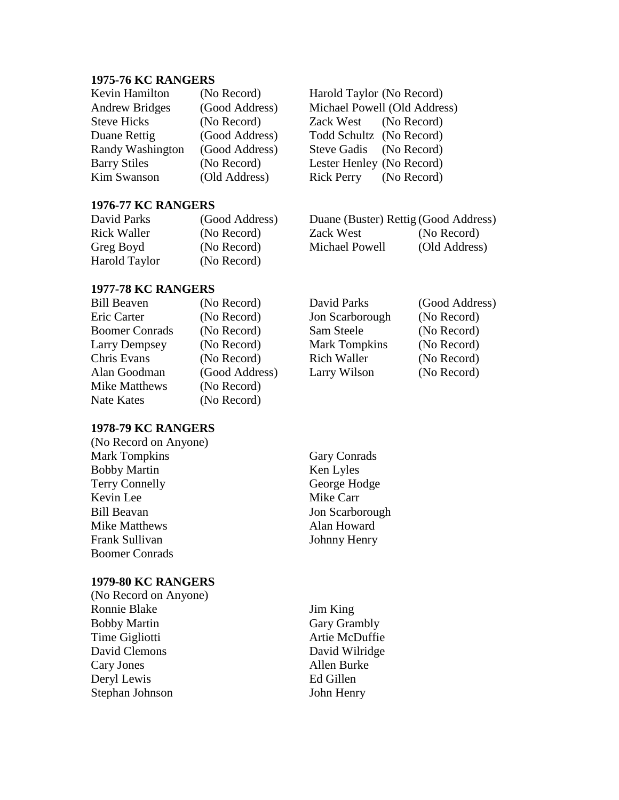## **1975-76 KC RANGERS**

| Kevin Hamilton        | (No Record)    |
|-----------------------|----------------|
| <b>Andrew Bridges</b> | (Good Address) |
| <b>Steve Hicks</b>    | (No Record)    |
| Duane Rettig          | (Good Address) |
| Randy Washington      | (Good Address) |
| <b>Barry Stiles</b>   | (No Record)    |
| <b>Kim Swanson</b>    | (Old Address)  |

Harold Taylor (No Record) Michael Powell (Old Address) Zack West (No Record) Todd Schultz (No Record) Steve Gadis (No Record) Lester Henley (No Record) Rick Perry (No Record)

David Parks (Good Address) Jon Scarborough (No Record) Sam Steele (No Record) Mark Tompkins (No Record) Rich Waller (No Record)

## **1976-77 KC RANGERS**

| David Parks   | (Good Address) | Duane (Buster) Rettig (Good Address) |               |
|---------------|----------------|--------------------------------------|---------------|
| Rick Waller   | (No Record)    | Zack West                            | (No Record)   |
| Greg Boyd     | (No Record)    | Michael Powell                       | (Old Address) |
| Harold Taylor | (No Record)    |                                      |               |

# **1977-78 KC RANGERS**

| <b>Bill Beaven</b>    | (No Record)    | David Parks          | (Good Addre |
|-----------------------|----------------|----------------------|-------------|
| Eric Carter           | (No Record)    | Jon Scarborough      | (No Record) |
| <b>Boomer Conrads</b> | (No Record)    | Sam Steele           | (No Record) |
| Larry Dempsey         | (No Record)    | <b>Mark Tompkins</b> | (No Record) |
| Chris Evans           | (No Record)    | <b>Rich Waller</b>   | (No Record) |
| Alan Goodman          | (Good Address) | Larry Wilson         | (No Record) |
| Mike Matthews         | (No Record)    |                      |             |
| Nate Kates            | (No Record)    |                      |             |
|                       |                |                      |             |

# **1978-79 KC RANGERS**

| (No Record on Anyone) |                     |
|-----------------------|---------------------|
| <b>Mark Tompkins</b>  | <b>Gary Conrads</b> |
| <b>Bobby Martin</b>   | Ken Lyles           |
| <b>Terry Connelly</b> | George Hodge        |
| Kevin Lee             | Mike Carr           |
| <b>Bill Beavan</b>    | Jon Scarborough     |
| Mike Matthews         | Alan Howard         |
| Frank Sullivan        | Johnny Henry        |
| <b>Boomer Conrads</b> |                     |
|                       |                     |

# **1979-80 KC RANGERS**

(No Record on Anyone) Ronnie Blake Jim King Bobby Martin Gary Grambly Time Gigliotti **Artie McDuffie** David Clemons David Wilridge Cary Jones Allen Burke Deryl Lewis Ed Gillen Stephan Johnson John Henry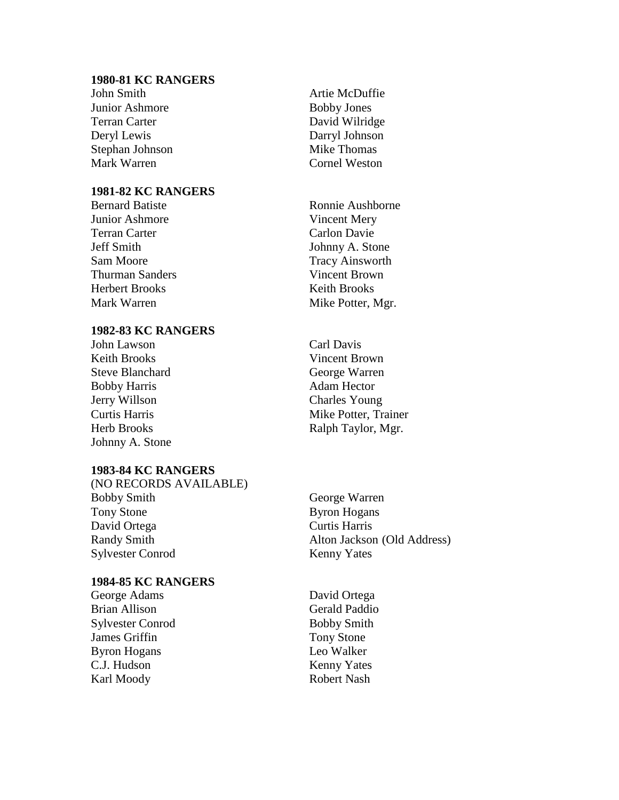## **1980-81 KC RANGERS**

John Smith Artie McDuffie Junior Ashmore Bobby Jones Terran Carter David Wilridge Deryl Lewis Darryl Johnson Stephan Johnson Mike Thomas Mark Warren Cornel Weston

# **1981-82 KC RANGERS**

Junior Ashmore Vincent Mery Terran Carter Carlon Davie Jeff Smith Johnny A. Stone Sam Moore Tracy Ainsworth Thurman Sanders Vincent Brown Herbert Brooks Keith Brooks Mark Warren Mike Potter, Mgr.

# **1982-83 KC RANGERS**

John Lawson Carl Davis Keith Brooks Vincent Brown Steve Blanchard George Warren Bobby Harris Adam Hector Jerry Willson Charles Young Johnny A. Stone

#### **1983-84 KC RANGERS**

(NO RECORDS AVAILABLE) Bobby Smith George Warren Tony Stone Byron Hogans David Ortega Curtis Harris Randy Smith Alton Jackson (Old Address)<br>Sylvester Conrod Kenny Yates Sylvester Conrod

#### **1984-85 KC RANGERS**

George Adams David Ortega Brian Allison<br>
Sylvester Conrod<br>
Gerald Paddio<br>
Bobby Smith Sylvester Conrod James Griffin Tony Stone Byron Hogans Leo Walker C.J. Hudson Kenny Yates Karl Moody **Robert Nash** 

Bernard Batiste Ronnie Aushborne

**Curtis Harris** Mike Potter, Trainer Herb Brooks Ralph Taylor, Mgr.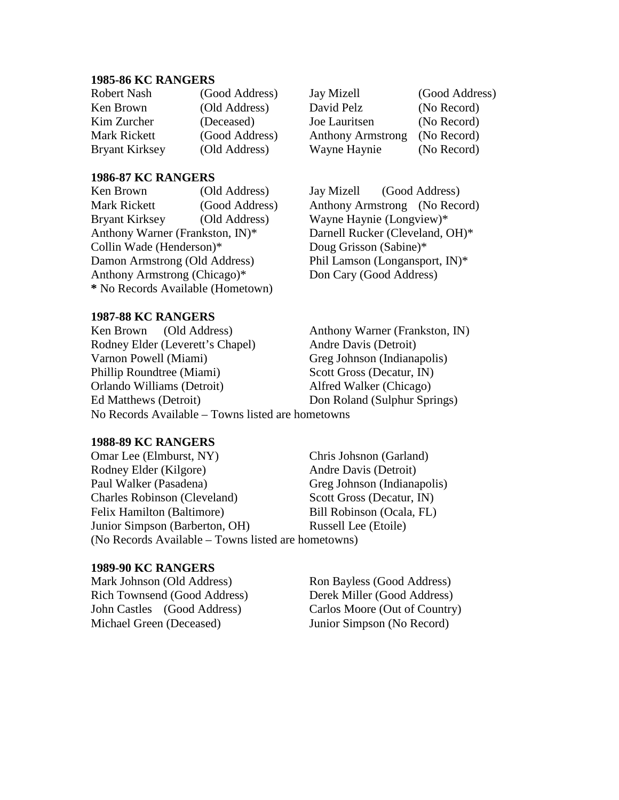### **1985-86 KC RANGERS**

| Robert Nash           | (Good Address) |
|-----------------------|----------------|
| Ken Brown             | (Old Address)  |
| Kim Zurcher           | (Deceased)     |
| Mark Rickett          | (Good Address) |
| <b>Bryant Kirksey</b> | (Old Address)  |

## **1986-87 KC RANGERS**

Ken Brown (Old Address) Jay Mizell (Good Address) Mark Rickett (Good Address) Anthony Armstrong (No Record) Bryant Kirksey (Old Address) Wayne Haynie (Longview)\* Anthony Warner (Frankston, IN)\* Darnell Rucker (Cleveland, OH)\* Collin Wade (Henderson)\* Doug Grisson (Sabine)\* Damon Armstrong (Old Address) Phil Lamson (Longansport, IN)\* Anthony Armstrong (Chicago)\* Don Cary (Good Address) **\*** No Records Available (Hometown)

## **1987-88 KC RANGERS**

Ken Brown (Old Address) Anthony Warner (Frankston, IN) Rodney Elder (Leverett's Chapel) Andre Davis (Detroit) Varnon Powell (Miami) Greg Johnson (Indianapolis) Phillip Roundtree (Miami) Scott Gross (Decatur, IN) Orlando Williams (Detroit) Alfred Walker (Chicago) Ed Matthews (Detroit) Don Roland (Sulphur Springs) No Records Available – Towns listed are hometowns

## **1988-89 KC RANGERS**

Omar Lee (Elmburst, NY) Chris Johsnon (Garland) Rodney Elder (Kilgore) Andre Davis (Detroit) Paul Walker (Pasadena) Greg Johnson (Indianapolis) Charles Robinson (Cleveland) Scott Gross (Decatur, IN) Felix Hamilton (Baltimore) Bill Robinson (Ocala, FL) Junior Simpson (Barberton, OH) Russell Lee (Etoile) (No Records Available – Towns listed are hometowns)

## **1989-90 KC RANGERS**

Mark Johnson (Old Address) Ron Bayless (Good Address) Rich Townsend (Good Address) Derek Miller (Good Address) John Castles (Good Address) Carlos Moore (Out of Country) Michael Green (Deceased) Junior Simpson (No Record)

Jay Mizell (Good Address) David Pelz (No Record) Joe Lauritsen (No Record) Anthony Armstrong (No Record) Wayne Haynie (No Record)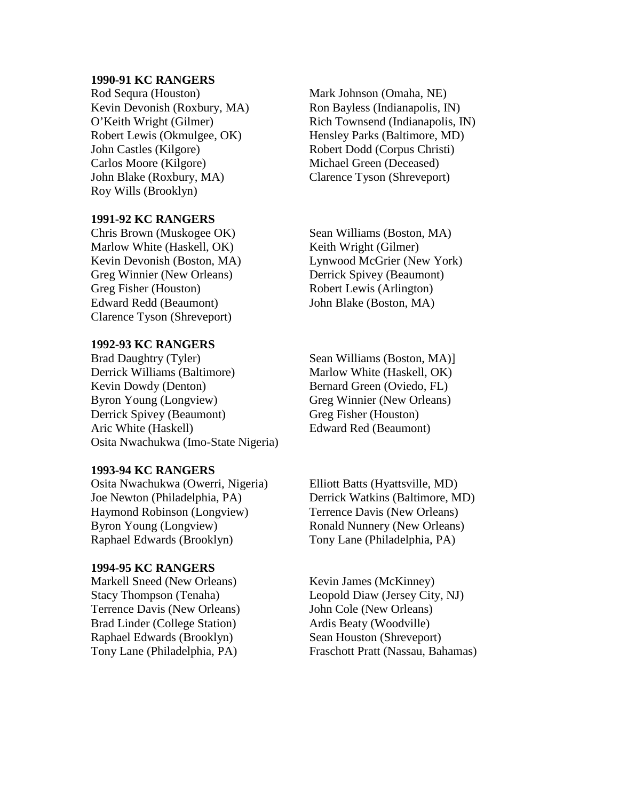#### **1990-91 KC RANGERS**

Rod Sequra (Houston) Mark Johnson (Omaha, NE) Kevin Devonish (Roxbury, MA) Ron Bayless (Indianapolis, IN) Robert Lewis (Okmulgee, OK) Hensley Parks (Baltimore, MD) John Castles (Kilgore) Robert Dodd (Corpus Christi) Carlos Moore (Kilgore) Michael Green (Deceased) John Blake (Roxbury, MA) Clarence Tyson (Shreveport) Roy Wills (Brooklyn)

## **1991-92 KC RANGERS**

Chris Brown (Muskogee OK) Sean Williams (Boston, MA) Marlow White (Haskell, OK) Keith Wright (Gilmer) Greg Winnier (New Orleans) Derrick Spivey (Beaumont) Greg Fisher (Houston) Robert Lewis (Arlington) Edward Redd (Beaumont) John Blake (Boston, MA) Clarence Tyson (Shreveport)

# **1992-93 KC RANGERS**

Derrick Williams (Baltimore) Marlow White (Haskell, OK) Kevin Dowdy (Denton) Bernard Green (Oviedo, FL) Byron Young (Longview) Greg Winnier (New Orleans) Derrick Spivey (Beaumont) Greg Fisher (Houston) Aric White (Haskell) Edward Red (Beaumont) Osita Nwachukwa (Imo-State Nigeria)

#### **1993-94 KC RANGERS**

Osita Nwachukwa (Owerri, Nigeria) Elliott Batts (Hyattsville, MD) Joe Newton (Philadelphia, PA) Derrick Watkins (Baltimore, MD) Haymond Robinson (Longview) Terrence Davis (New Orleans) Byron Young (Longview) Ronald Nunnery (New Orleans) Raphael Edwards (Brooklyn) Tony Lane (Philadelphia, PA)

## **1994-95 KC RANGERS**

Markell Sneed (New Orleans) Kevin James (McKinney) Terrence Davis (New Orleans) John Cole (New Orleans) Brad Linder (College Station) Ardis Beaty (Woodville) Raphael Edwards (Brooklyn) Sean Houston (Shreveport)

O'Keith Wright (Gilmer) Rich Townsend (Indianapolis, IN)

Kevin Devonish (Boston, MA) Lynwood McGrier (New York)

Sean Williams (Boston, MA)]

Stacy Thompson (Tenaha) Leopold Diaw (Jersey City, NJ) Tony Lane (Philadelphia, PA) Fraschott Pratt (Nassau, Bahamas)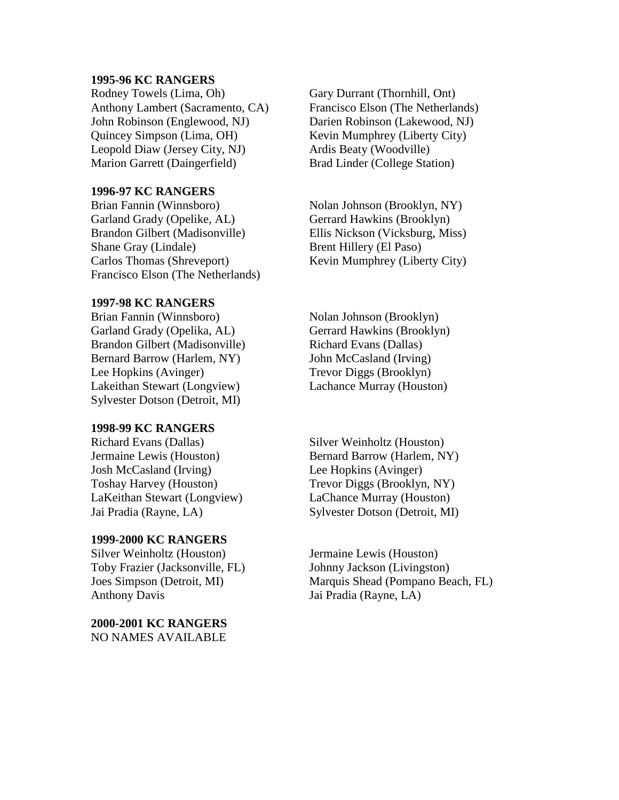## **1995-96 KC RANGERS**

Rodney Towels (Lima, Oh) Gary Durrant (Thornhill, Ont) Anthony Lambert (Sacramento, CA) Francisco Elson (The Netherlands) John Robinson (Englewood, NJ) Darien Robinson (Lakewood, NJ) Quincey Simpson (Lima, OH) Kevin Mumphrey (Liberty City) Leopold Diaw (Jersey City, NJ) Ardis Beaty (Woodville) Marion Garrett (Daingerfield) Brad Linder (College Station)

# **1996-97 KC RANGERS**

Brian Fannin (Winnsboro) Nolan Johnson (Brooklyn, NY) Garland Grady (Opelike, AL) Gerrard Hawkins (Brooklyn) Brandon Gilbert (Madisonville) Ellis Nickson (Vicksburg, Miss) Shane Gray (Lindale) Brent Hillery (El Paso) Carlos Thomas (Shreveport) Kevin Mumphrey (Liberty City) Francisco Elson (The Netherlands)

## **1997-98 KC RANGERS**

Brian Fannin (Winnsboro) Nolan Johnson (Brooklyn) Garland Grady (Opelika, AL) Gerrard Hawkins (Brooklyn) Brandon Gilbert (Madisonville) Richard Evans (Dallas) Bernard Barrow (Harlem, NY) John McCasland (Irving) Lee Hopkins (Avinger) Trevor Diggs (Brooklyn) Lakeithan Stewart (Longview) Lachance Murray (Houston) Sylvester Dotson (Detroit, MI)

## **1998-99 KC RANGERS**

Richard Evans (Dallas) Silver Weinholtz (Houston) Josh McCasland (Irving) Lee Hopkins (Avinger) Toshay Harvey (Houston) Trevor Diggs (Brooklyn, NY) LaKeithan Stewart (Longview) LaChance Murray (Houston)

## **1999-2000 KC RANGERS**

Silver Weinholtz (Houston) Jermaine Lewis (Houston) Toby Frazier (Jacksonville, FL) Johnny Jackson (Livingston) Anthony Davis Jai Pradia (Rayne, LA)

**2000-2001 KC RANGERS** NO NAMES AVAILABLE

Jermaine Lewis (Houston) Bernard Barrow (Harlem, NY) Jai Pradia (Rayne, LA) Sylvester Dotson (Detroit, MI)

Joes Simpson (Detroit, MI) Marquis Shead (Pompano Beach, FL)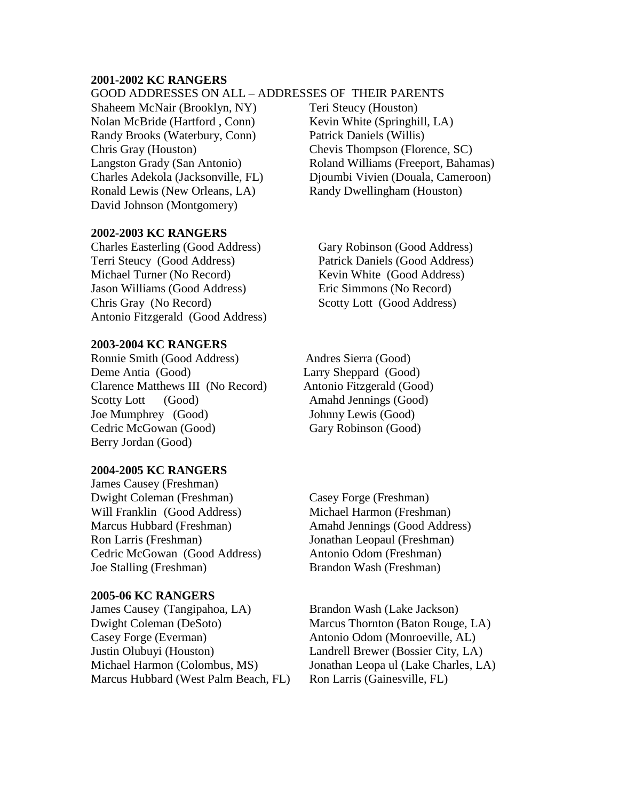## **2001-2002 KC RANGERS**

## GOOD ADDRESSES ON ALL – ADDRESSES OF THEIR PARENTS

Shaheem McNair (Brooklyn, NY) Teri Steucy (Houston) Nolan McBride (Hartford, Conn) Kevin White (Springhill, LA) Randy Brooks (Waterbury, Conn) Patrick Daniels (Willis) Chris Gray (Houston) Chevis Thompson (Florence, SC) Ronald Lewis (New Orleans, LA) Randy Dwellingham (Houston) David Johnson (Montgomery)

# **2002-2003 KC RANGERS**

Charles Easterling (Good Address) Gary Robinson (Good Address) Terri Steucy (Good Address) Patrick Daniels (Good Address) Michael Turner (No Record) Kevin White (Good Address) Jason Williams (Good Address) Eric Simmons (No Record) Chris Gray (No Record) Scotty Lott (Good Address) Antonio Fitzgerald (Good Address)

#### **2003-2004 KC RANGERS**

Ronnie Smith (Good Address) Andres Sierra (Good) Deme Antia (Good) Larry Sheppard (Good) Clarence Matthews III (No Record) Antonio Fitzgerald (Good) Scotty Lott (Good) Amahd Jennings (Good) Joe Mumphrey (Good) Johnny Lewis (Good) Cedric McGowan (Good) Gary Robinson (Good) Berry Jordan (Good)

#### **2004-2005 KC RANGERS**

James Causey (Freshman) Dwight Coleman (Freshman) Casey Forge (Freshman) Will Franklin (Good Address) Michael Harmon (Freshman) Marcus Hubbard (Freshman) Amahd Jennings (Good Address) Ron Larris (Freshman) Jonathan Leopaul (Freshman) Cedric McGowan (Good Address) Antonio Odom (Freshman) Joe Stalling (Freshman) Brandon Wash (Freshman)

## **2005-06 KC RANGERS**

James Causey (Tangipahoa, LA) Brandon Wash (Lake Jackson) Dwight Coleman (DeSoto) Marcus Thornton (Baton Rouge, LA) Casey Forge (Everman) Antonio Odom (Monroeville, AL) Justin Olubuyi (Houston) Landrell Brewer (Bossier City, LA) Michael Harmon (Colombus, MS) Jonathan Leopa ul (Lake Charles, LA) Marcus Hubbard (West Palm Beach, FL) Ron Larris (Gainesville, FL)

Langston Grady (San Antonio) Roland Williams (Freeport, Bahamas) Charles Adekola (Jacksonville, FL) Djoumbi Vivien (Douala, Cameroon)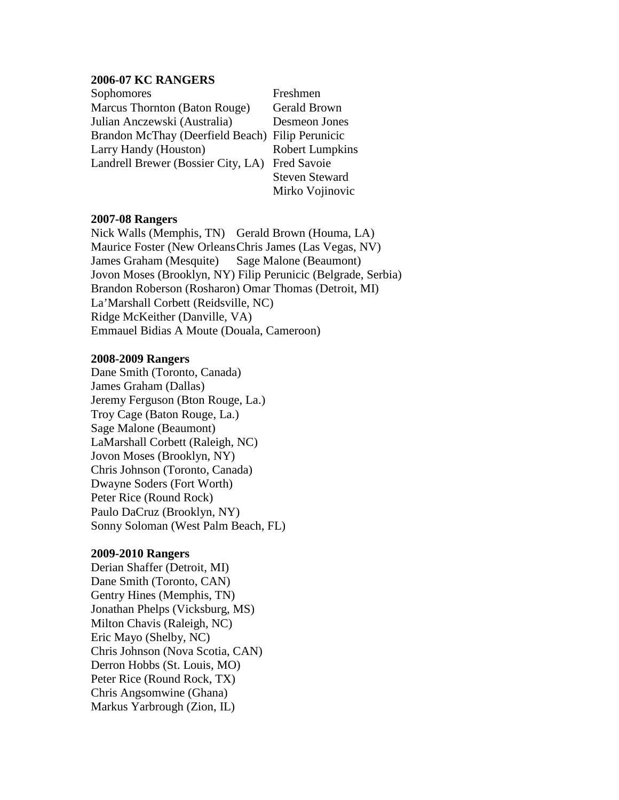## **2006-07 KC RANGERS**

Sophomores Freshmen Marcus Thornton (Baton Rouge) Gerald Brown Julian Anczewski (Australia) Desmeon Jones Brandon McThay (Deerfield Beach) Filip Perunicic Larry Handy (Houston) Robert Lumpkins Landrell Brewer (Bossier City, LA) Fred Savoie

Steven Steward Mirko Vojinovic

## **2007-08 Rangers**

Nick Walls (Memphis, TN) Gerald Brown (Houma, LA) Maurice Foster (New OrleansChris James (Las Vegas, NV) James Graham (Mesquite) Sage Malone (Beaumont) Jovon Moses (Brooklyn, NY) Filip Perunicic (Belgrade, Serbia) Brandon Roberson (Rosharon) Omar Thomas (Detroit, MI) La'Marshall Corbett (Reidsville, NC) Ridge McKeither (Danville, VA) Emmauel Bidias A Moute (Douala, Cameroon)

#### **2008-2009 Rangers**

Dane Smith (Toronto, Canada) James Graham (Dallas) Jeremy Ferguson (Bton Rouge, La.) Troy Cage (Baton Rouge, La.) Sage Malone (Beaumont) LaMarshall Corbett (Raleigh, NC) Jovon Moses (Brooklyn, NY) Chris Johnson (Toronto, Canada) Dwayne Soders (Fort Worth) Peter Rice (Round Rock) Paulo DaCruz (Brooklyn, NY) Sonny Soloman (West Palm Beach, FL)

## **2009-2010 Rangers**

Derian Shaffer (Detroit, MI) Dane Smith (Toronto, CAN) Gentry Hines (Memphis, TN) Jonathan Phelps (Vicksburg, MS) Milton Chavis (Raleigh, NC) Eric Mayo (Shelby, NC) Chris Johnson (Nova Scotia, CAN) Derron Hobbs (St. Louis, MO) Peter Rice (Round Rock, TX) Chris Angsomwine (Ghana) Markus Yarbrough (Zion, IL)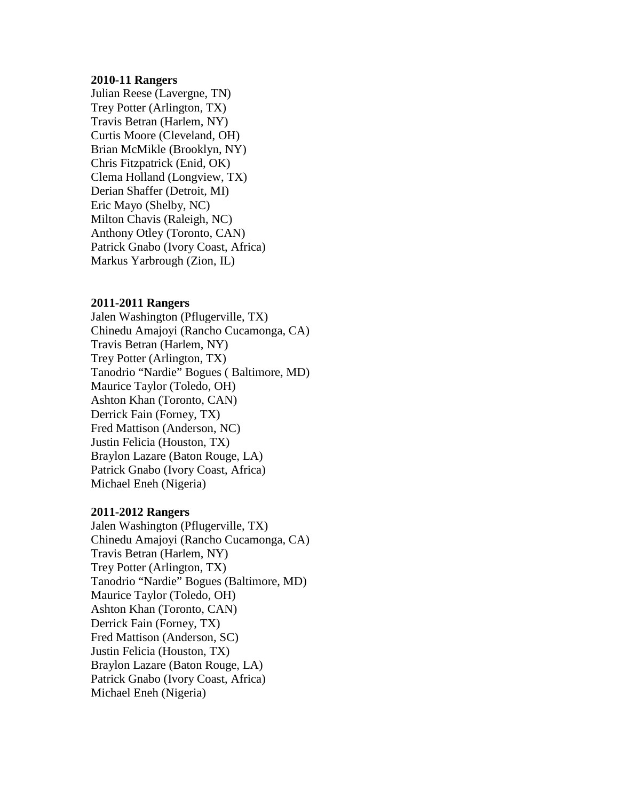## **2010-11 Rangers**

Julian Reese (Lavergne, TN) Trey Potter (Arlington, TX) Travis Betran (Harlem, NY) Curtis Moore (Cleveland, OH) Brian McMikle (Brooklyn, NY) Chris Fitzpatrick (Enid, OK) Clema Holland (Longview, TX) Derian Shaffer (Detroit, MI) Eric Mayo (Shelby, NC) Milton Chavis (Raleigh, NC) Anthony Otley (Toronto, CAN) Patrick Gnabo (Ivory Coast, Africa) Markus Yarbrough (Zion, IL)

## **2011-2011 Rangers**

Jalen Washington (Pflugerville, TX) Chinedu Amajoyi (Rancho Cucamonga, CA) Travis Betran (Harlem, NY) Trey Potter (Arlington, TX) Tanodrio "Nardie" Bogues ( Baltimore, MD) Maurice Taylor (Toledo, OH) Ashton Khan (Toronto, CAN) Derrick Fain (Forney, TX) Fred Mattison (Anderson, NC) Justin Felicia (Houston, TX) Braylon Lazare (Baton Rouge, LA) Patrick Gnabo (Ivory Coast, Africa) Michael Eneh (Nigeria)

## **2011-2012 Rangers**

Jalen Washington (Pflugerville, TX) Chinedu Amajoyi (Rancho Cucamonga, CA) Travis Betran (Harlem, NY) Trey Potter (Arlington, TX) Tanodrio "Nardie" Bogues (Baltimore, MD) Maurice Taylor (Toledo, OH) Ashton Khan (Toronto, CAN) Derrick Fain (Forney, TX) Fred Mattison (Anderson, SC) Justin Felicia (Houston, TX) Braylon Lazare (Baton Rouge, LA) Patrick Gnabo (Ivory Coast, Africa) Michael Eneh (Nigeria)